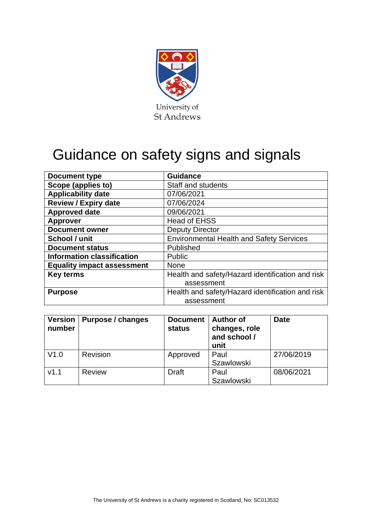

# Guidance on safety signs and signals

| Document type                     | <b>Guidance</b>                                  |  |  |
|-----------------------------------|--------------------------------------------------|--|--|
| Scope (applies to)                | <b>Staff and students</b>                        |  |  |
| <b>Applicability date</b>         | 07/06/2021                                       |  |  |
| <b>Review / Expiry date</b>       | 07/06/2024                                       |  |  |
| <b>Approved date</b>              | 09/06/2021                                       |  |  |
| <b>Approver</b>                   | <b>Head of EHSS</b>                              |  |  |
| <b>Document owner</b>             | <b>Deputy Director</b>                           |  |  |
| School / unit                     | <b>Environmental Health and Safety Services</b>  |  |  |
| <b>Document status</b>            | Published                                        |  |  |
| <b>Information classification</b> | <b>Public</b>                                    |  |  |
| <b>Equality impact assessment</b> | <b>None</b>                                      |  |  |
| <b>Key terms</b>                  | Health and safety/Hazard identification and risk |  |  |
|                                   | assessment                                       |  |  |
| <b>Purpose</b>                    | Health and safety/Hazard identification and risk |  |  |
|                                   | assessment                                       |  |  |

| <b>Version</b><br>number | <b>Purpose / changes</b> | <b>Document</b><br>status | <b>Author of</b><br>changes, role<br>and school /<br>unit | <b>Date</b> |
|--------------------------|--------------------------|---------------------------|-----------------------------------------------------------|-------------|
| V1.0                     | Revision                 | Approved                  | Paul<br><b>Szawlowski</b>                                 | 27/06/2019  |
| V1.1                     | <b>Review</b>            | <b>Draft</b>              | Paul<br><b>Szawlowski</b>                                 | 08/06/2021  |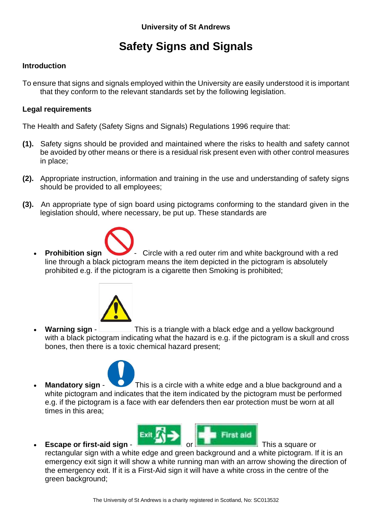# **Safety Signs and Signals**

## **Introduction**

To ensure that signs and signals employed within the University are easily understood it is important that they conform to the relevant standards set by the following legislation.

### **Legal requirements**

The Health and Safety (Safety Signs and Signals) Regulations 1996 require that:

- **(1).** Safety signs should be provided and maintained where the risks to health and safety cannot be avoided by other means or there is a residual risk present even with other control measures in place;
- **(2).** Appropriate instruction, information and training in the use and understanding of safety signs should be provided to all employees;
- **(3).** An appropriate type of sign board using pictograms conforming to the standard given in the legislation should, where necessary, be put up. These standards are



**Prohibition sign** Circle with a red outer rim and white background with a red line through a black pictogram means the item depicted in the pictogram is absolutely prohibited e.g. if the pictogram is a cigarette then Smoking is prohibited;



**Warning sign** - This is a triangle with a black edge and a yellow background with a black pictogram indicating what the hazard is e.g. if the pictogram is a skull and cross bones, then there is a toxic chemical hazard present;



**Mandatory sign** - This is a circle with a white edge and a blue background and a white pictogram and indicates that the item indicated by the pictogram must be performed e.g. if the pictogram is a face with ear defenders then ear protection must be worn at all times in this area;



rectangular sign with a white edge and green background and a white pictogram. If it is an emergency exit sign it will show a white running man with an arrow showing the direction of the emergency exit. If it is a First-Aid sign it will have a white cross in the centre of the green background;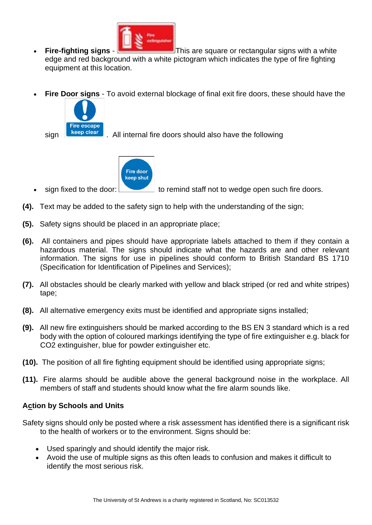

- **Fire-fighting signs This are square or rectangular signs with a white** edge and red background with a white pictogram which indicates the type of fire fighting equipment at this location.
- **Fire Door signs** To avoid external blockage of final exit fire doors, these should have the



sign **E** keep clear . All internal fire doors should also have the following



sign fixed to the door:  $\Box$  to remind staff not to wedge open such fire doors.

- **(4).** Text may be added to the safety sign to help with the understanding of the sign;
- **(5).** Safety signs should be placed in an appropriate place;
- **(6).** All containers and pipes should have appropriate labels attached to them if they contain a hazardous material. The signs should indicate what the hazards are and other relevant information. The signs for use in pipelines should conform to British Standard BS 1710 (Specification for Identification of Pipelines and Services);
- **(7).** All obstacles should be clearly marked with yellow and black striped (or red and white stripes) tape;
- **(8).** All alternative emergency exits must be identified and appropriate signs installed;
- **(9).** All new fire extinguishers should be marked according to the BS EN 3 standard which is a red body with the option of coloured markings identifying the type of fire extinguisher e.g. black for CO2 extinguisher, blue for powder extinguisher etc.
- **(10).** The position of all fire fighting equipment should be identified using appropriate signs;
- **(11).** Fire alarms should be audible above the general background noise in the workplace. All members of staff and students should know what the fire alarm sounds like.

#### **Action by Schools and Units**

Safety signs should only be posted where a risk assessment has identified there is a significant risk to the health of workers or to the environment. Signs should be:

- Used sparingly and should identify the major risk.
- Avoid the use of multiple signs as this often leads to confusion and makes it difficult to identify the most serious risk.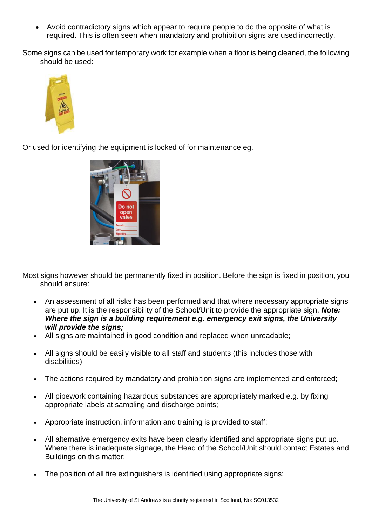• Avoid contradictory signs which appear to require people to do the opposite of what is required. This is often seen when mandatory and prohibition signs are used incorrectly.

Some signs can be used for temporary work for example when a floor is being cleaned, the following should be used:



Or used for identifying the equipment is locked of for maintenance eg.



Most signs however should be permanently fixed in position. Before the sign is fixed in position, you should ensure:

- An assessment of all risks has been performed and that where necessary appropriate signs are put up. It is the responsibility of the School/Unit to provide the appropriate sign. *Note: Where the sign is a building requirement e.g. emergency exit signs, the University will provide the signs;*
- All signs are maintained in good condition and replaced when unreadable;
- All signs should be easily visible to all staff and students (this includes those with disabilities)
- The actions required by mandatory and prohibition signs are implemented and enforced;
- All pipework containing hazardous substances are appropriately marked e.g. by fixing appropriate labels at sampling and discharge points;
- Appropriate instruction, information and training is provided to staff;
- All alternative emergency exits have been clearly identified and appropriate signs put up. Where there is inadequate signage, the Head of the School/Unit should contact Estates and Buildings on this matter;
- The position of all fire extinguishers is identified using appropriate signs: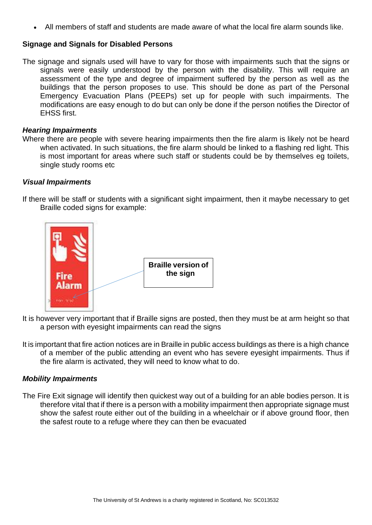• All members of staff and students are made aware of what the local fire alarm sounds like.

#### **Signage and Signals for Disabled Persons**

The signage and signals used will have to vary for those with impairments such that the signs or signals were easily understood by the person with the disability. This will require an assessment of the type and degree of impairment suffered by the person as well as the buildings that the person proposes to use. This should be done as part of the Personal Emergency Evacuation Plans (PEEPs) set up for people with such impairments. The modifications are easy enough to do but can only be done if the person notifies the Director of EHSS first.

#### *Hearing Impairments*

Where there are people with severe hearing impairments then the fire alarm is likely not be heard when activated. In such situations, the fire alarm should be linked to a flashing red light. This is most important for areas where such staff or students could be by themselves eg toilets, single study rooms etc

#### *Visual Impairments*

If there will be staff or students with a significant sight impairment, then it maybe necessary to get Braille coded signs for example:



- It is however very important that if Braille signs are posted, then they must be at arm height so that a person with eyesight impairments can read the signs
- It is important that fire action notices are in Braille in public access buildings as there is a high chance of a member of the public attending an event who has severe eyesight impairments. Thus if the fire alarm is activated, they will need to know what to do.

#### *Mobility Impairments*

The Fire Exit signage will identify then quickest way out of a building for an able bodies person. It is therefore vital that if there is a person with a mobility impairment then appropriate signage must show the safest route either out of the building in a wheelchair or if above ground floor, then the safest route to a refuge where they can then be evacuated